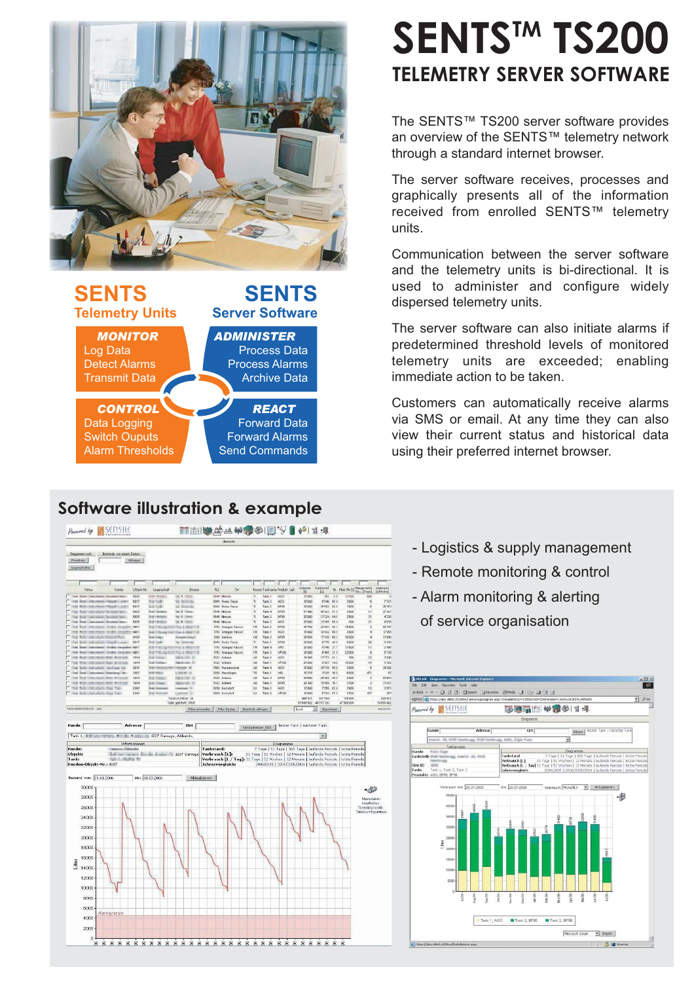



# **Software illustration & example**

|                                                                                                  |                                                       |               |                                    |                                               |                                    | <b>Overvices</b>                                                                         |                                  |                              |                                                                                                                                       |                  |                             |                         |                    |                                     |                    |
|--------------------------------------------------------------------------------------------------|-------------------------------------------------------|---------------|------------------------------------|-----------------------------------------------|------------------------------------|------------------------------------------------------------------------------------------|----------------------------------|------------------------------|---------------------------------------------------------------------------------------------------------------------------------------|------------------|-----------------------------|-------------------------|--------------------|-------------------------------------|--------------------|
| Grupperen nach<br>Produkten<br>Liegenschaften                                                    | Bezünde von einem Datum                               | Abhagen       |                                    |                                               |                                    |                                                                                          |                                  |                              |                                                                                                                                       |                  |                             |                         |                    |                                     |                    |
| Firma                                                                                            | Kede                                                  | Objekt-tin    | Liegenschaft                       | Styloi                                        | PLZ                                | OH                                                                                       |                                  |                              | Rayon Tankname Produkt, Lief                                                                                                          |                  | Tankstand                   | $\dot{\mathbf{u}}_k$    | Play for R.I.      | Mange                               | National           |
| <b>Tool Selection</b>                                                                            |                                                       | 4834          | <b>Shaft Fallming</b>              | 16 F (144)                                    |                                    | <b>ODIE Minerio</b>                                                                      | $\overline{1}$                   | Tank 1                       | <b>AG</b>                                                                                                                             | N<br>15:000      | 国<br>681                    | 78.6                    | 12700              | Nr [Таза]<br>GW                     | [L/Mothe]          |
|                                                                                                  |                                                       | 5017          | <b>NUMB</b>                        | W NISSA                                       |                                    | <b>ODEE</b> Points Treza                                                                 | $\overline{\mathfrak{n}}$        | Tards 3                      | AD0                                                                                                                                   | 17000            | 6542                        | 65.4                    | 7000               | ì                                   | 7731               |
| <b>INS ROBILING</b>                                                                              | <b>MILLIA</b> ILLUSTRY<br>THE RESIDENCE PERSONALS     | 6017<br>6036  | E-Allison<br><b>Latingwood</b>     | as factories<br>in 8 lines                    |                                    | 6068 Forms Trees<br><b>OS40 Minuzio</b>                                                  | $\pi$<br>$\overline{\mathbf{n}}$ | Tayle 2<br>Tank 4            | REGA<br>brus                                                                                                                          | 32000<br>\$7400  | 18922<br>46'823 07.9        | 2018                    | ron<br>raco        | ×<br>ū                              | 28'353<br>27421    |
| IN SAVING                                                                                        |                                                       | 6236          | <b>Engineering</b>                 | ity & Lines                                   |                                    | <b>OSAIL Mexico</b>                                                                      | $\mathbf{u}$                     | Table 3                      | <b>Bittan</b>                                                                                                                         | 35'000           | 27224 043                   |                         | 7500               | 71                                  | 4735               |
|                                                                                                  |                                                       | saus          | <b>BRIDGER</b>                     | to a tena                                     |                                    | <b>DENE MIGUIN</b>                                                                       | $\mathbf{u}$                     | Tank 2                       | ADD<br>prox                                                                                                                           | 35000            | 17855 95.4                  |                         | $-100$             | $\overline{21}$                     | rass               |
|                                                                                                  | AVE BUSINESSERO TO BY LEGAC.                          | 4011<br>46E   | <b>EDMSINS</b><br><b>Ed Church</b> | <b>INVESTE</b><br>1.5443334                   |                                    | 1763 Granges Paccot<br>1763 Granges-Paccot                                               | FR<br>FR                         | Tank <sub>2</sub><br>Tards 1 | AGO                                                                                                                                   | 40'700<br>15'000 | 22394 05.1<br>is 432 09.6   |                         | 15930<br>7900      | 3                                   | 12747<br>17855     |
| TAX NAV USB UNIX/BASER PUTS                                                                      |                                                       | 4132          | <b>Business</b>                    |                                               |                                    | 1206 Gardon                                                                              | 05                               | Tank 3                       | pras                                                                                                                                  | 39550            | 17939 00.3                  |                         | 17200              | ٠                                   | 37800              |
|                                                                                                  | that bein visit when the problems of                  | sait          | <b><i><u>builder</u></i></b>       | to lowest                                     |                                    | 6000 Posts Treca                                                                         | $\pi$                            | Tanie 1                      | pras                                                                                                                                  | 20'000           |                             | 9770 40 B               | 9'300              | $\infty$                            | 3'430              |
|                                                                                                  |                                                       | 4691<br>40/11 | <b>ERMINING</b>                    | 网络多种变化等                                       |                                    | 1783 Granges Paccot<br>1763 Granges-Paccot                                               | FR<br>FR                         | Tank 4<br>Task S             | <b>VPD</b><br><b>UP100</b>                                                                                                            | 39'000<br>30'000 |                             | E540 27.7<br>6'455 21.6 | 17500<br>27000     | $^{\dagger}$<br>o                   | 3'400<br>5'130     |
|                                                                                                  | <b>NUMBER OF STREET</b><br>FOR BOATCOMCORDERED ROSTER | 1834          | <b>Life Statement</b>              | \$175.00 SAVING STEEL<br><b>MAGAZINE</b> JP   |                                    | 6322 Keblerer                                                                            | AB                               | Tarde 1                      | ADD                                                                                                                                   | 13'405           | 17777 01.1                  |                         | 700                | $\overline{\mathbf{z}}$             | 7840               |
|                                                                                                  | THE RAWLING UNIVERSITY RICHARDS                       | 1234          | <b>La contect</b>                  | <b>Carl Line St</b>                           |                                    | 6322 Kellers                                                                             | AD                               | Tarriv 1                     | <b>UP100</b>                                                                                                                          | 35'300           |                             | F937, 54.8              | 15:300             | 18                                  | 7322               |
|                                                                                                  | (b) Selected which have not                           | 3810          | <b>Exploration</b>                 | er al                                         |                                    | 6502 Humanschel                                                                          | AD                               | Timle 4                      | ADO                                                                                                                                   | 33'300           | 26'533                      | 85.8                    | 7000               | ø                                   | 34342              |
| <b>County</b> the<br>and the business of the<br>look Augustad class class                        |                                                       | 1007<br>1834  | <b>RICHARDS</b><br><b>RATIONS</b>  | LONE BY, 27<br>1973-1971. 21                  |                                    | 0200 Viwatingen<br>6322 Kehlenn                                                          | m<br>AD                          | Trink 1<br>Tank 4            | HBL.<br>brus                                                                                                                          | 12.270<br>32500  | 7338 36.9<br>26'352 05.8    |                         | snago<br>2'000     | 471                                 | 57<br>67863        |
|                                                                                                  | THE RESIDENCE PER ROOM                                | 1034          | E-A company                        | <b>GALLAST 31</b>                             |                                    | A122 Kellane                                                                             | AD                               | Tank 3                       | pros                                                                                                                                  | 37330            | 15509 76.7                  |                         | T700               | ٠                                   | 11977              |
| THE RAWLINGTONE CRAFTER                                                                          |                                                       | 2243          | <b>Latingwide</b>                  | <b>Commercial</b>                             |                                    | 6200 Hochdorf                                                                            | w                                | Tank 2                       | ADD                                                                                                                                   | 12000            |                             | 7552 628                | <b>7900</b>        | 12                                  | 7871               |
| This brannounce for her                                                                          |                                                       | 2343          | <b>Braking</b>                     | - 14                                          |                                    | 6299 Hochdert                                                                            | LU                               | Table 2                      | <b>UP100</b>                                                                                                                          | 10000            |                             | <b>9784 ST.E</b>        | T700               | 157                                 | 357                |
|                                                                                                  |                                                       |               |                                    | Total cluntbar: 20<br>Total gelittert: 3168   |                                    |                                                                                          |                                  |                              |                                                                                                                                       | 469521           | 387594<br>97669902 44761720 |                         | 137300<br>A7987300 |                                     | 329972<br>14357492 |
| <b>SECONDENTEERING</b> Adv                                                                       |                                                       |               |                                    |                                               |                                    | Filter anwenden Filter littelsen Battände aufnagen                                       |                                  |                              |                                                                                                                                       | Enal             | - Esportanen                |                         |                    |                                     | жевено             |
|                                                                                                  | -<br>- Onloads                                        |               |                                    |                                               | <b>Tankstand:</b>                  |                                                                                          |                                  |                              | Diagramme<br>7 Tage   31 Tage   365 Tage   laufende Periode   letzte Periode                                                          |                  |                             |                         |                    |                                     |                    |
|                                                                                                  | TAXABLE PARTY TO                                      |               |                                    | But the corner Birmin Brainer in 1227 Carouge | Verbrauch [L]:<br>Jahresvergleich: | Verbrauch [L / Tag]: 31 Tage   52 Wochen   12 Monate   laufende Periode   letzte Periode |                                  |                              | 31 Tage   52 Wochen   12 Monate   laufende Periode   letzte Periode<br>2006/2005   2006/2005/2004   laufende Periode   letzte Periode |                  |                             |                         |                    |                                     |                    |
|                                                                                                  |                                                       |               | bis: 01.03.2006                    |                                               | Aktualisieren                      |                                                                                          |                                  |                              |                                                                                                                                       |                  |                             |                         |                    |                                     |                    |
| Kunde:<br><b>Objekt:</b><br>Tank:<br>Kunden-Objekt-Nr.: 4087<br>Bestand von: 29.01.2006<br>30000 |                                                       |               |                                    |                                               |                                    |                                                                                          |                                  |                              |                                                                                                                                       |                  |                             |                         |                    | $-80$                               |                    |
| 28000                                                                                            |                                                       |               |                                    |                                               |                                    |                                                                                          |                                  |                              |                                                                                                                                       |                  |                             |                         |                    | Messdaten                           |                    |
|                                                                                                  |                                                       |               |                                    |                                               |                                    |                                                                                          |                                  |                              |                                                                                                                                       |                  |                             |                         |                    | bearbeiten                          |                    |
| 26000                                                                                            |                                                       |               |                                    |                                               |                                    |                                                                                          |                                  |                              |                                                                                                                                       |                  |                             |                         |                    | Tankdiagnostik<br>Tankkonfiguration |                    |
| 24000                                                                                            |                                                       |               |                                    |                                               |                                    |                                                                                          |                                  |                              |                                                                                                                                       |                  |                             |                         |                    |                                     |                    |
| 22000                                                                                            |                                                       |               |                                    |                                               |                                    |                                                                                          |                                  |                              |                                                                                                                                       |                  |                             |                         |                    |                                     |                    |
|                                                                                                  |                                                       |               |                                    |                                               |                                    |                                                                                          |                                  |                              |                                                                                                                                       |                  |                             |                         |                    |                                     |                    |
| 20000                                                                                            |                                                       |               |                                    |                                               |                                    |                                                                                          |                                  |                              |                                                                                                                                       |                  |                             |                         |                    |                                     |                    |
| 18000                                                                                            |                                                       |               |                                    |                                               |                                    |                                                                                          |                                  |                              |                                                                                                                                       |                  |                             |                         |                    |                                     |                    |
|                                                                                                  |                                                       |               |                                    |                                               |                                    |                                                                                          |                                  |                              |                                                                                                                                       |                  |                             |                         |                    |                                     |                    |
| 16000                                                                                            |                                                       |               |                                    |                                               |                                    |                                                                                          |                                  |                              |                                                                                                                                       |                  |                             |                         |                    |                                     |                    |
| Liter<br>14000                                                                                   |                                                       |               |                                    |                                               |                                    |                                                                                          |                                  |                              |                                                                                                                                       |                  |                             |                         |                    |                                     |                    |
|                                                                                                  |                                                       |               |                                    |                                               |                                    |                                                                                          |                                  |                              |                                                                                                                                       |                  |                             |                         |                    |                                     |                    |
| 12000                                                                                            |                                                       |               |                                    |                                               |                                    |                                                                                          |                                  |                              |                                                                                                                                       |                  |                             |                         |                    |                                     |                    |
| 10000                                                                                            |                                                       |               |                                    |                                               |                                    |                                                                                          |                                  |                              |                                                                                                                                       |                  |                             |                         |                    |                                     |                    |
|                                                                                                  |                                                       |               |                                    |                                               |                                    |                                                                                          |                                  |                              |                                                                                                                                       |                  |                             |                         |                    |                                     |                    |
| 8000                                                                                             |                                                       |               |                                    |                                               |                                    |                                                                                          |                                  |                              |                                                                                                                                       |                  |                             |                         |                    |                                     |                    |
| 6000                                                                                             |                                                       |               |                                    |                                               |                                    |                                                                                          |                                  |                              |                                                                                                                                       |                  |                             |                         |                    |                                     |                    |
|                                                                                                  | Alarmgrenze                                           |               |                                    |                                               |                                    |                                                                                          |                                  |                              |                                                                                                                                       |                  |                             |                         |                    |                                     |                    |
| 4000                                                                                             |                                                       |               |                                    |                                               |                                    |                                                                                          |                                  |                              |                                                                                                                                       |                  |                             |                         |                    |                                     |                    |
| 2000                                                                                             |                                                       |               |                                    |                                               |                                    |                                                                                          |                                  |                              |                                                                                                                                       |                  |                             |                         |                    |                                     |                    |

# **SENTSTM TS200 TELEMETRY SERVER SOFTWARE**

The SENTS™ TS200 server software provides an overview of the SENTS™ telemetry network through a standard internet browser.

The server software receives, processes and graphically presents all of the information received from enrolled SENTS™ telemetry units.

Communication between the server software and the telemetry units is bi-directional. It is used to administer and configure widely dispersed telemetry units.

The server software can also initiate alarms if predetermined threshold levels of monitored telemetry units are exceeded; enabling immediate action to be taken.

Customers can automatically receive alarms via SMS or email. At any time they can also view their current status and historical data using their preferred internet browser.

- Logistics & supply management
- Remote monitoring & control
- Alarm monitoring & alerting of service organisation